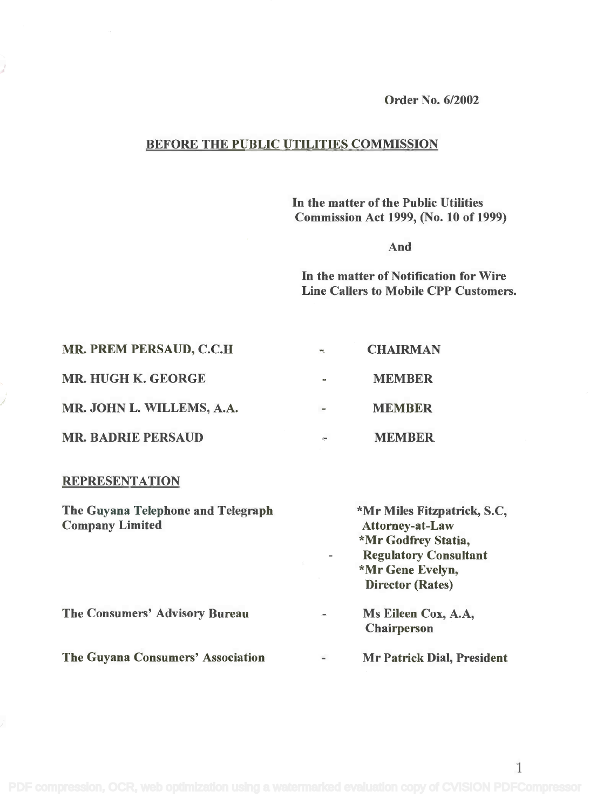Order No. 6/2002

## BEFORE THE PUBLIC UTILITIES COMMISSION

In the matter of the Public Utilities In the matter of the Public Utilities Commission Act 1999, (No. 10 of 1999) Commission Act 1999, (No. 10 of 1999)

And

In the matter of Notification for Wire In the matter of Notification for Wire Line Callers to Mobile CPP Customers. Line Callers to Mobile CPP Customers.

1

| MR. PREM PERSAUD, C.C.H.  | <b>THE</b> | <b>CHAIRMAN</b> |  |
|---------------------------|------------|-----------------|--|
| <b>MR. HUGH K. GEORGE</b> | $\sim$     | <b>MEMBER</b>   |  |
| MR. JOHN L. WILLEMS, A.A. | $\sim$     | <b>MEMBER</b>   |  |
| <b>MR. BADRIE PERSAUD</b> | žен.       | <b>MEMBER</b>   |  |

## **REPRESENTATION**

| The Guyana Telephone and Telegraph<br><b>Company Limited</b> |                          | *Mr Miles Fitzpatrick, S.C.<br><b>Attorney-at-Law</b><br>*Mr Godfrey Statia,<br><b>Regulatory Consultant</b><br>*Mr Gene Evelyn,<br><b>Director (Rates)</b> |  |
|--------------------------------------------------------------|--------------------------|-------------------------------------------------------------------------------------------------------------------------------------------------------------|--|
| <b>The Consumers' Advisory Bureau</b>                        | ÷.                       | Ms Eileen Cox, A.A.<br><b>Chairperson</b>                                                                                                                   |  |
| The Guyana Consumers' Association                            | $\overline{\phantom{a}}$ | <b>Mr Patrick Dial, President</b>                                                                                                                           |  |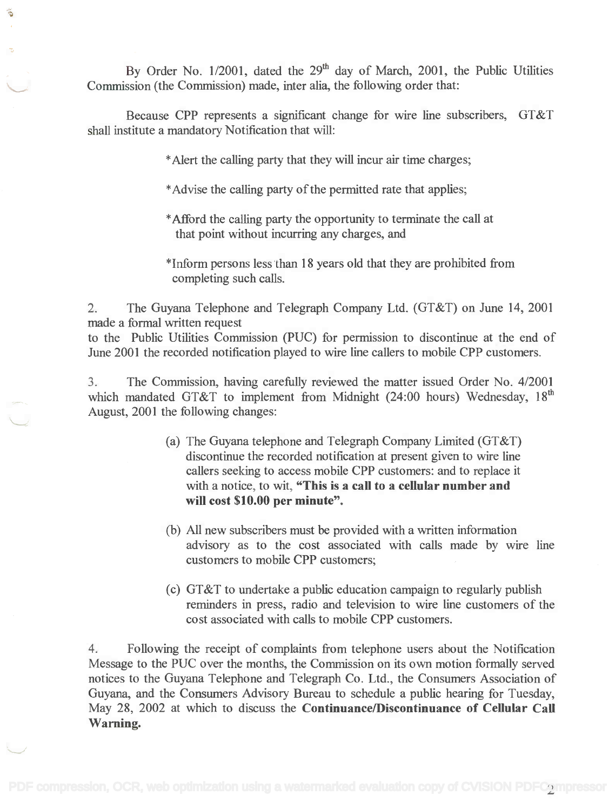By Order No.  $1/2001$ , dated the  $29<sup>th</sup>$  day of March, 2001, the Public Utilities Commission (the Commission) made, inter alia, the following order that: Commission (the Commission) made, inter alia, the following order that:

Ğ

Because CPP represents a significant change for wire line subscribers, GT&T Because CPP represents a significant change for wire line subscribers, GT&T shall institute a mandatory Notification that will: shall institute a mandatory Notification that will:

\*Alert the calling party that they will incur air time charges;

- \*Advise the calling party of the permitted rate that applies;
- \*Afford the calling party the opportunity to terminate the call at \*Afford the calling party the opportunity to terminate the call at that point without incurring any charges, and
- \*Inform persons less than 18 years old that they are prohibited from \*Inform persons less than 18 years old that they are prohibited from completing such calls. completing such calls.

2. The Guyana Telephone and Telegraph Company Ltd. (GT&T) on June 14, 2001 2. The Guyana Telephone and Telegraph Company Ltd. (GT&T) on June 14, 2001 made a formal written request made a formal written request

to the Public Utilities Commission (PUC) for permission to discontinue at the end of June 2001 the recorded notification played to wire line callers to mobile CPP customers. June 2001 the recorded notification played to wire line callers to mobile CPP customers.

3. The Commission, having carefully reviewed the matter issued Order No. 4/2001 3. The Commission, having carefully reviewed the matter issued Order No. 4/2001 which mandated GT&T to implement from Midnight (24:00 hours) Wednesday, 18<sup>th</sup> August, 2001 the following changes: August, 2001 the following changes:

- (a) The Guyana telephone and Telegraph Company Limited (GT&T) (a) The Guyana telephone and Telegraph Company Limited (GT&T) discontinue the recorded notification at present given to wire line discontinue the recorded notification at present given to wire line callers seeking to access mobile CPP customers: and to replace it with a notice, to wit, "This is a call to a cellular number and will cost \$10.00 per minute". **wiD cost \$10.00 per minute".**
- (b) All new subscribers must be provided with a written information (b) All new subscribers must be provided with a written information advisory as to the cost associated with calls made by wire line advisory as to the cost associated with calls made by wire line customers to mobile CPP customers; customers to mobile CPP customers;
- (c) GT&T to undertake a public education campaign to regularly publish (c) GT&T to undertake a public education campaign to regularly publish reminders in press, radio and television to wire line customers of the reminders in press, radio and television to wire line customers of the cost associated with calls to mobile CPP customers. cost associated with calls to mobile CPP customers.

4. Following the receipt of complaints from telephone users about the Notification 4. Following the receipt of complaints from telephone users about the Notification Message to the PUC over the months, the Commission on its own motion formally served Message to the PUC over the months, the Commission on its own motion formally served notices to the Guyana Telephone and Telegraph Co. Ltd., the Consumers Association of notices to the Guyana Telephone and Telegraph Co. Ltd., the Consumers Association of Guyana, and the Consumers Advisory Bureau to schedule a public hearing for Tuesday, Guyana, and the Consumers Advisory Bureau to schedule a public hearing for Tuesday, May 28, 2002 at which to discuss the Continuance/Discontinuance of Cellular Call May 28, 2002 at which to discuss the **ContinuancelDiscontinuance of CeDular CaD** Warning. **Warning.**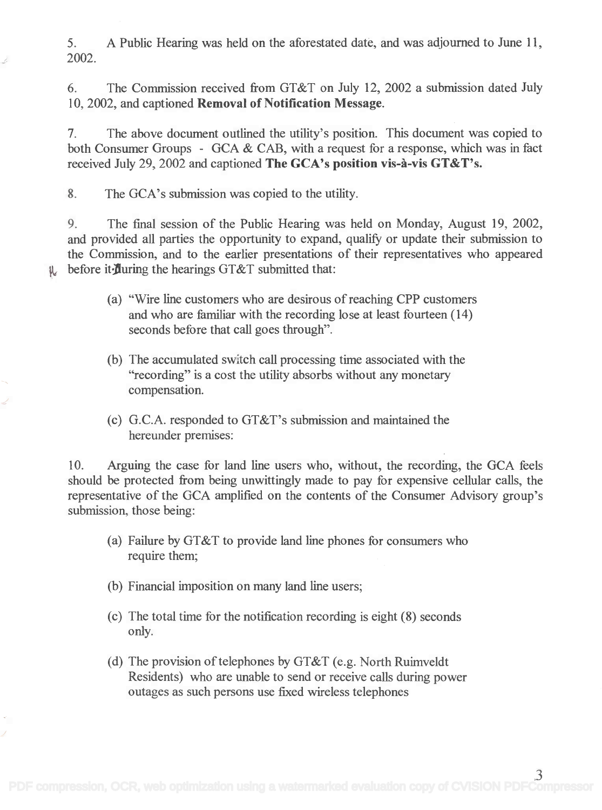5. A Public Hearing was held on the aforestated date, and was adjourned to June 11, 5. A Public Hearing was held on the aforestated date, and was adjourned to June 11, 2002. 2002.

6. The Commission received from GT&T on July 12, 2002 a submission dated July 6. The Commission received from GT&T on July 12, 2002 a submission dated July 10, 2002, and captioned Removal of Notification Message. 10,2002, and captioned Removal of Notification Message.

7. The above document outlined the utility's position. This document was copied to 7. The above document outlined the utility's position. This document was copied to both Consumer Groups - GCA & CAB, with a request for a response, which was in fact both Consumer Groups - GCA & CAB, with a request for a response, which was in fact received July 29, 2002 and captioned The GCA's position vis-à-vis GT&T's.

8. The GCA's submission was copied to the utility.

9. The fmal session of the Public Hearing was held on Monday, August 19, 2002, 9. The final session of the Public Hearing was held on Monday, August 19, 2002, and provided all parties the opportunity to expand, qualify or update their submission to and provided all parties the opportunity to expand, qualify or update their submission to the Commission, and to the earlier presentations of their representatives who appeared the Commission, and to the earlier presentations of their representatives who appeared  $\psi$  before it during the hearings GT&T submitted that:

- (a) "Wire line customers who are desirous of reaching CPP customers (a) "Wire line customers who are desirous of reaching CPP customers and who are familiar with the recording lose at least fourteen (14) and who are familiar with the recording lose at least fourteen (14) seconds before that call goes through". seconds before that call goes through".
- (b) The accumulated switch call processing time associated with the (b) The accumulated switch call processing time associated with the "recording" is a cost the utility absorbs without any monetary "recording" is a cost the utility absorbs without any monetary compensation. compensation.
- (c) G.C.A. responded to GT&T's submission and maintained the (c) G.c.A. responded to GT&T's submission and maintained the hereunder premises: hereunder premises:

10. Arguing the case for land line users who, without, the recording, the GCA feels 10. Arguing the case for land line users who, without, the recording, the GCA feels should be protected from being unwittingly made to pay for expensive cellular calls, the should be protected from being unwittingly made to pay for expensive cellular calls, the representative of the GCA amplified on the contents of the Consumer Advisory group's representative of the GCA amplified on the contents of the Consumer Advisory group's submission, those being: submission, those being:

- (a) Failure by GT&T to provide land line phones for consumers who (a) Failure by GT&T to provide land line phones for consumers who require them; require them;
- (b) Financial imposition on many land line users;
- (c) The total time for the notification recording is eight (8) seconds (c) The total time for the notification recording is eight (8) seconds only. only.
- (d) The provision of telephones by GT&T (e.g. North Ruimveldt (d) The provision of telephones by GT&T (e.g. North Ruimveldt Residents) who are unable to send or receive calls during power Residents) who are unable to send or receive calls during power outages as such persons use fixed wireless telephones outages as such persons use fixed wireless telephones